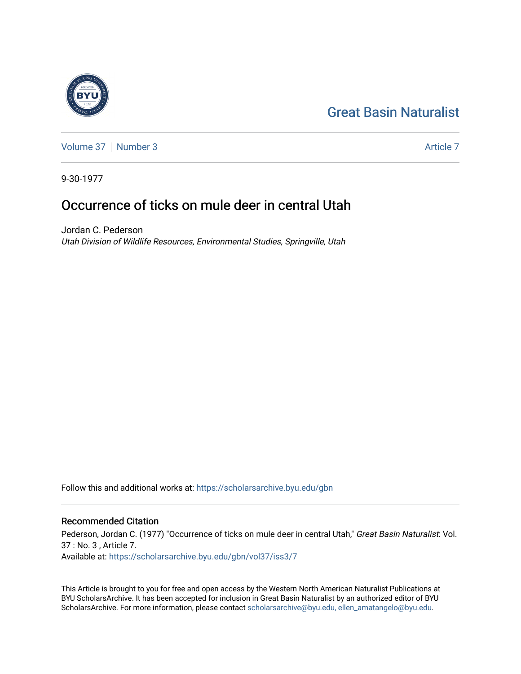# [Great Basin Naturalist](https://scholarsarchive.byu.edu/gbn)



[Volume 37](https://scholarsarchive.byu.edu/gbn/vol37) | [Number 3](https://scholarsarchive.byu.edu/gbn/vol37/iss3) Article 7

9-30-1977

# Occurrence of ticks on mule deer in central Utah

Jordan C. Pederson Utah Division of Wildlife Resources, Environmental Studies, Springville, Utah

Follow this and additional works at: [https://scholarsarchive.byu.edu/gbn](https://scholarsarchive.byu.edu/gbn?utm_source=scholarsarchive.byu.edu%2Fgbn%2Fvol37%2Fiss3%2F7&utm_medium=PDF&utm_campaign=PDFCoverPages) 

## Recommended Citation

Pederson, Jordan C. (1977) "Occurrence of ticks on mule deer in central Utah," Great Basin Naturalist: Vol. 37 : No. 3 , Article 7. Available at: [https://scholarsarchive.byu.edu/gbn/vol37/iss3/7](https://scholarsarchive.byu.edu/gbn/vol37/iss3/7?utm_source=scholarsarchive.byu.edu%2Fgbn%2Fvol37%2Fiss3%2F7&utm_medium=PDF&utm_campaign=PDFCoverPages)

This Article is brought to you for free and open access by the Western North American Naturalist Publications at BYU ScholarsArchive. It has been accepted for inclusion in Great Basin Naturalist by an authorized editor of BYU ScholarsArchive. For more information, please contact [scholarsarchive@byu.edu, ellen\\_amatangelo@byu.edu.](mailto:scholarsarchive@byu.edu,%20ellen_amatangelo@byu.edu)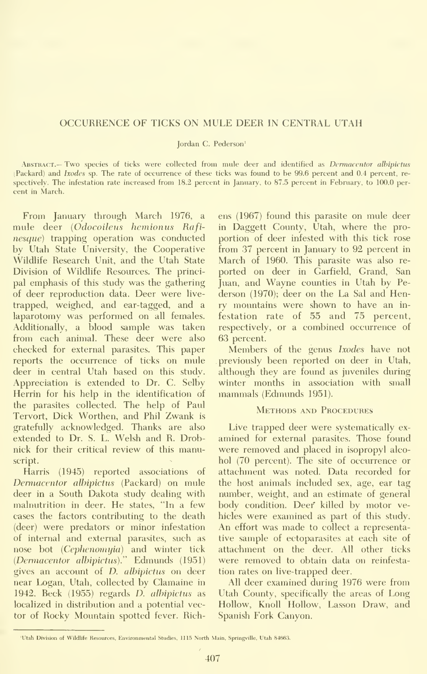#### OCCURRENCE OF TICKS ON MULE DEER IN CENTRAL UTAH

Jordan C. Pederson'

ABSTRACT.— Two species of ticks were collected from mule deer and identified as Dermacentor albipictus (Packard) and Ixodes sp. The rate of occurrence of these ticks was found to be 99.6 percent and 0.4 percent, re spectively. The infestation rate increased from 18.2 percent in January, to 87.5 percent in February, to 100.0 percent in March.

From January through March 1976, a mule deer {Odocoileus hemionus Rafinesque) trapping operation was conducted by Utah State University, the Cooperative Wildhfe Research Unit, and the Utah State Division of Wildhfe Resources. The princi pal emphasis of this study was the gathering of deer reproduction data. Deer were live trapped, weighed, and ear-tagged, and a laparotomy was performed on all females. Additionally, a blood sample was taken from each animal. These deer were also checked for external parasites. This paper reports the occurrence of ticks on mule deer in central Utah based on this study. Appreciation is extended to Dr. C. Selby Herrin for his help in the identification of the parasites collected. The help of Paul Tervort, Dick Worthen, and Phil Zwank is gratefully acknowledged. Thanks are also extended to Dr. S. L. Welsh and R. Drobnick for their critical review of this manuscript.

Harris (1945) reported associations of Dermacentor albipictus (Packard) on mule deer in a South Dakota study dealing with malnutrition in deer. He states, "In a few cases the factors contributing to the death (deer) were predators or minor infestation of internal and external parasites, such as nose bot (Cephenomyia) and winter tick (Dermacentor albipictus)." Edmunds (1951) gives an account of D. alhipictus on deer near Logan, Utah, collected by Clamaine in 1942. Beck (1955) regards D. alhipictus as localized in distribution and a potential vector of Rocky Mountain spotted fever. Richens (1967) found this parasite on mule deer in Daggett County, Utah, where the pro portion of deer infested with this tick rose from 37 percent in January to 92 percent in March of 1960. This parasite was also re ported on deer in Garfield, Grand, San Juan, and Wayne counties in Utah by Pederson (1970); deer on the La Sal and Henry mountains were shown to have an in festation rate of 55 and 75 percent, respectively, or a combined occurrence of 63 percent.

Members of the genus Ixodes have not previously been reported on deer in Utah, although they are found as juveniles during winter months in association with small mammals (Edmunds 1951).

### Methods and Procedures

Live trapped deer were systematically ex amined for external parasites. Those found were removed and placed in isopropyl alco hol (70 percent). The site of occurrence or attachment was noted. Data recorded for the host animals included sex, age, ear tag number, weight, and an estimate of general body condition. Deer killed by motor vehicles were examined as part of this study. An effort was made to collect <sup>a</sup> representative sample of ectoparasites at each site of attachment on the deer. All other ticks were removed to obtain data on reinfesta tion rates on live-trapped deer.

All deer examined during 1976 were from Utah County, specifically the areas of Long Hollow, Knoll Hollow, Lasson Draw, and Spanish Fork Canyon.

<sup>&#</sup>x27;Utah Division of Wildlife Resources, Environmental Studies, 1115 North Main, Springville, Utah 84663.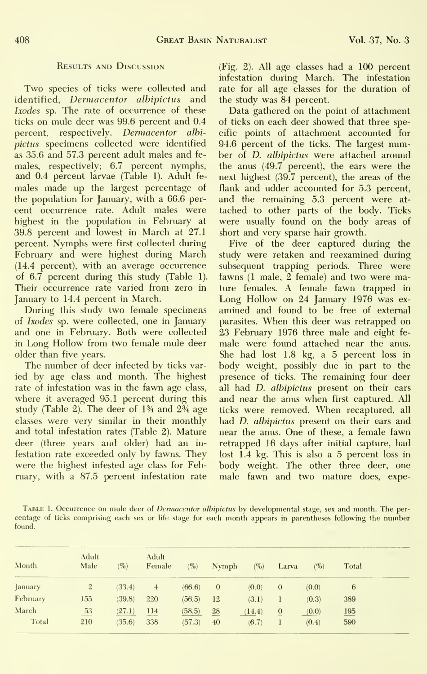### Results and Discussion

Two species of ticks were collected and identified, Derrnacentor albipictus and Ixodes sp. The rate of occurrence of these ticks on mule deer was 99.6 percent and 0.4 percent, respectively. Dermacentor albipictus specimens collected were identified as 35.6 and 57.3 percent adult males and fe males, respectively; 6.7 percent nymphs, and 0.4 percent larvae (Table 1). Adult fe males made up the largest percentage of the population for January, with a 66.6 per cent occurrence rate. Adult males were highest in the population in February at 39.8 percent and lowest in March at 27.1 percent. Nymphs were first collected during February and were highest during March (14.4 percent), with an average occurrence of 6.7 percent during this study (Table 1). Their occurrence rate varied from zero in January to 14.4 percent in March.

During this study two female specimens of Ixodes sp. were collected, one in January and one in February. Both were collected in Long Hollow from two female mule deer older than five years.

The number of deer infected by ticks var ied by age class and month. The highest rate of infestation was in the fawn age class, where it averaged 95.1 percent during this study (Table 2). The deer of 1% and 2% age classes were very similar in their monthly and total infestation rates (Table 2). Mature deer (three years and older) had an in festation rate exceeded only by fawns. They were the highest infested age class for February, with a 87.5 percent infestation rate (Fig. 2). All age classes had a 100 percent infestation during March. The infestation rate for all age classes for the duration of the study was 84 percent.

Data gathered on the point of attachment of ticks on each deer showed that three specific points of attachment accounted for 94.6 percent of the ticks. The largest number of D. albipictus were attached around the anus (49.7 percent), the ears were the next highest (39.7 percent), the areas of the flank and udder accounted for 5.3 percent, and the remaining 5.3 percent were at tached to other parts of the body. Ticks were usually found on the body areas of short and very sparse hair growth.

Five of the deer captured during the study were retaken and reexamined during subsequent trapping periods. Three were fawns (1 male, 2 female) and two were mature females. A female fawn trapped in Long Hollow on 24 January 1976 was ex amined and found to be free of external parasites. When this deer was retrapped on 23 February 1976 three male and eight fe male were found attached near the anus. She had lost 1.8 kg, a 5 percent loss in body weight, possibly due in part to the presence of ticks. The remaining four deer all had D. albipictus present on their ears and near the anus when first captured. All ticks were removed. When recaptured, all had *D. albipictus* present on their ears and near the anus. One of these, a female fawn retrapped 16 days after initial capture, had lost 1.4 kg. This is also a 5 percent loss in body weight. The other three deer, one male fawn and two mature does, expe-

TABLE 1. Occurrence on mule deer of *Dermacentor albipictus* by developmental stage, sex and month. The percentage of ticks comprising each sex or life stage for each month appears in parentheses following the number found.

| Month    | Adult<br>Male  | $\frac{1}{2}$ | Adult<br>Female | $(\%)$ | Nymph    | <b>Contract Contract Contract Contract Contract</b><br>(%) | Larva    | $(\%)$ | also and the company of the company's company's company's company's company's<br>Total |
|----------|----------------|---------------|-----------------|--------|----------|------------------------------------------------------------|----------|--------|----------------------------------------------------------------------------------------|
| January  | $\overline{2}$ | (33.4)        | 4               | (66.6) | $\theta$ | (0.0)                                                      | $\theta$ | (0.0)  | 6                                                                                      |
| February | 155            | (39.8)        | 220             | (56.5) | 12       | (3.1)                                                      |          | (0.3)  | 389                                                                                    |
| March    | 53<br>____     | (27.1)        | 114             | (58.5) | 28       | (14.4)                                                     | $\theta$ | (0.0)  | 195                                                                                    |
| Total    | 210            | (35.6)        | 338             | (57.3) | 40       | (6.7)                                                      |          | (0.4)  | 590                                                                                    |